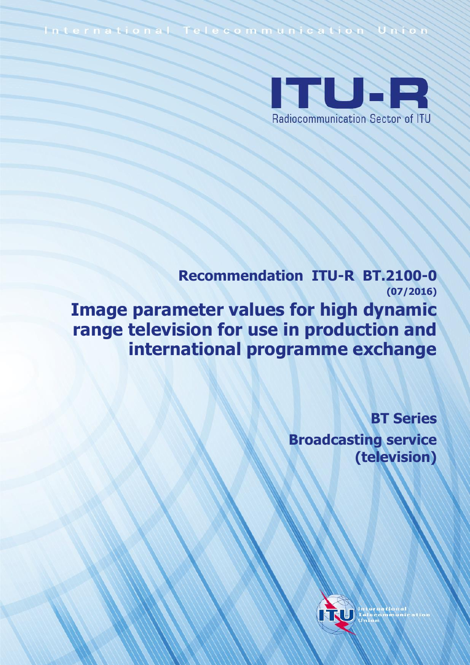International Telecommunication Union



**Recommendation ITU-R BT.2100-0 (07/2016) Image parameter values for high dynamic range television for use in production and international programme exchange**

> **BT Series Broadcasting service (television)**

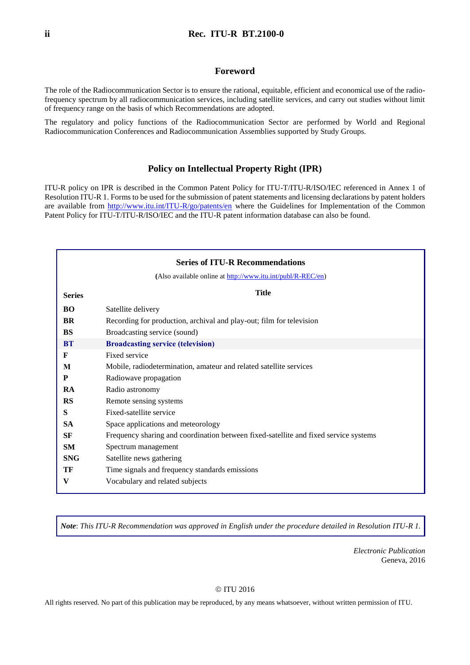### **Foreword**

The role of the Radiocommunication Sector is to ensure the rational, equitable, efficient and economical use of the radiofrequency spectrum by all radiocommunication services, including satellite services, and carry out studies without limit of frequency range on the basis of which Recommendations are adopted.

The regulatory and policy functions of the Radiocommunication Sector are performed by World and Regional Radiocommunication Conferences and Radiocommunication Assemblies supported by Study Groups.

### **Policy on Intellectual Property Right (IPR)**

ITU-R policy on IPR is described in the Common Patent Policy for ITU-T/ITU-R/ISO/IEC referenced in Annex 1 of Resolution ITU-R 1. Forms to be used for the submission of patent statements and licensing declarations by patent holders are available from<http://www.itu.int/ITU-R/go/patents/en> where the Guidelines for Implementation of the Common Patent Policy for ITU-T/ITU-R/ISO/IEC and the ITU-R patent information database can also be found.

| <b>Series of ITU-R Recommendations</b> |                                                                                      |  |  |
|----------------------------------------|--------------------------------------------------------------------------------------|--|--|
|                                        | (Also available online at http://www.itu.int/publ/R-REC/en)                          |  |  |
| <b>Series</b>                          | <b>Title</b>                                                                         |  |  |
| <b>BO</b>                              | Satellite delivery                                                                   |  |  |
| <b>BR</b>                              | Recording for production, archival and play-out; film for television                 |  |  |
| <b>BS</b>                              | Broadcasting service (sound)                                                         |  |  |
| <b>BT</b>                              | <b>Broadcasting service (television)</b>                                             |  |  |
| F                                      | Fixed service                                                                        |  |  |
| M                                      | Mobile, radiodetermination, amateur and related satellite services                   |  |  |
| P                                      | Radiowave propagation                                                                |  |  |
| <b>RA</b>                              | Radio astronomy                                                                      |  |  |
| <b>RS</b>                              | Remote sensing systems                                                               |  |  |
| S                                      | Fixed-satellite service                                                              |  |  |
| <b>SA</b>                              | Space applications and meteorology                                                   |  |  |
| SF                                     | Frequency sharing and coordination between fixed-satellite and fixed service systems |  |  |
| <b>SM</b>                              | Spectrum management                                                                  |  |  |
| <b>SNG</b>                             | Satellite news gathering                                                             |  |  |
| TF                                     | Time signals and frequency standards emissions                                       |  |  |
| V                                      | Vocabulary and related subjects                                                      |  |  |
|                                        |                                                                                      |  |  |

*Note*: *This ITU-R Recommendation was approved in English under the procedure detailed in Resolution ITU-R 1.*

*Electronic Publication* Geneva, 2016

#### © ITU 2016

All rights reserved. No part of this publication may be reproduced, by any means whatsoever, without written permission of ITU.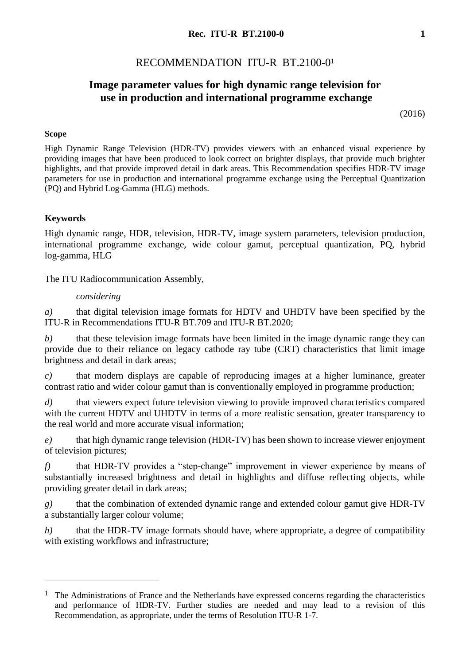# RECOMMENDATION ITU-R BT.2100-0<sup>1</sup>

# **Image parameter values for high dynamic range television for use in production and international programme exchange**

(2016)

### **Scope**

High Dynamic Range Television (HDR-TV) provides viewers with an enhanced visual experience by providing images that have been produced to look correct on brighter displays, that provide much brighter highlights, and that provide improved detail in dark areas. This Recommendation specifies HDR-TV image parameters for use in production and international programme exchange using the Perceptual Quantization (PQ) and Hybrid Log-Gamma (HLG) methods.

# **Keywords**

<u>.</u>

High dynamic range, HDR, television, HDR-TV, image system parameters, television production, international programme exchange, wide colour gamut, perceptual quantization, PQ, hybrid log-gamma, HLG

The ITU Radiocommunication Assembly,

### *considering*

*a)* that digital television image formats for HDTV and UHDTV have been specified by the ITU-R in Recommendations ITU-R BT.709 and ITU-R BT.2020;

*b)* that these television image formats have been limited in the image dynamic range they can provide due to their reliance on legacy cathode ray tube (CRT) characteristics that limit image brightness and detail in dark areas;

*c)* that modern displays are capable of reproducing images at a higher luminance, greater contrast ratio and wider colour gamut than is conventionally employed in programme production;

*d)* that viewers expect future television viewing to provide improved characteristics compared with the current HDTV and UHDTV in terms of a more realistic sensation, greater transparency to the real world and more accurate visual information;

*e)* that high dynamic range television (HDR-TV) has been shown to increase viewer enjoyment of television pictures;

*f)* that HDR-TV provides a "step-change" improvement in viewer experience by means of substantially increased brightness and detail in highlights and diffuse reflecting objects, while providing greater detail in dark areas;

*g)* that the combination of extended dynamic range and extended colour gamut give HDR-TV a substantially larger colour volume;

*h*) that the HDR-TV image formats should have, where appropriate, a degree of compatibility with existing workflows and infrastructure;

 $<sup>1</sup>$  The Administrations of France and the Netherlands have expressed concerns regarding the characteristics</sup> and performance of HDR-TV. Further studies are needed and may lead to a revision of this Recommendation, as appropriate, under the terms of Resolution ITU-R 1-7.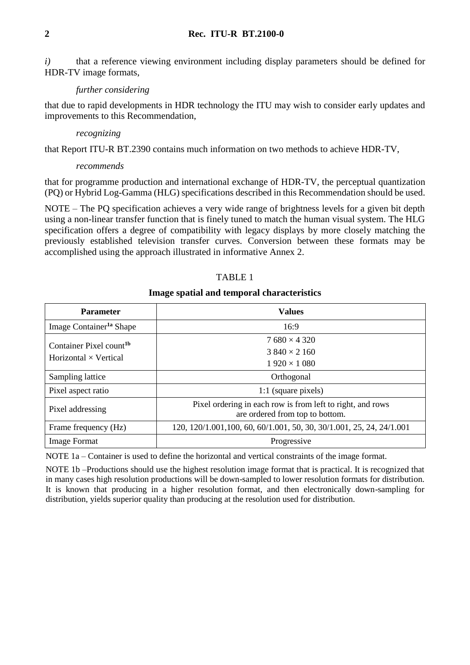*i*) that a reference viewing environment including display parameters should be defined for HDR-TV image formats,

### *further considering*

that due to rapid developments in HDR technology the ITU may wish to consider early updates and improvements to this Recommendation,

### *recognizing*

that Report ITU-R BT.2390 contains much information on two methods to achieve HDR-TV,

### *recommends*

that for programme production and international exchange of HDR-TV, the perceptual quantization (PQ) or Hybrid Log-Gamma (HLG) specifications described in this Recommendation should be used.

NOTE – The PQ specification achieves a very wide range of brightness levels for a given bit depth using a non-linear transfer function that is finely tuned to match the human visual system. The HLG specification offers a degree of compatibility with legacy displays by more closely matching the previously established television transfer curves. Conversion between these formats may be accomplished using the approach illustrated in informative Annex 2.

## TABLE 1

### **Image spatial and temporal characteristics**

| <b>Parameter</b>                    | <b>Values</b>                                                                                 |
|-------------------------------------|-----------------------------------------------------------------------------------------------|
| Image Container <sup>1a</sup> Shape | 16:9                                                                                          |
| Container Pixel count <sup>1b</sup> | $7680 \times 4320$                                                                            |
| Horizontal $\times$ Vertical        | $3840 \times 2160$                                                                            |
|                                     | $1920 \times 1080$                                                                            |
| Sampling lattice                    | Orthogonal                                                                                    |
| Pixel aspect ratio                  | 1:1 (square pixels)                                                                           |
| Pixel addressing                    | Pixel ordering in each row is from left to right, and rows<br>are ordered from top to bottom. |
| Frame frequency (Hz)                | 120, 120/1.001, 100, 60, 60/1.001, 50, 30, 30/1.001, 25, 24, 24/1.001                         |
| <b>Image Format</b>                 | Progressive                                                                                   |

NOTE 1a – Container is used to define the horizontal and vertical constraints of the image format.

NOTE 1b –Productions should use the highest resolution image format that is practical. It is recognized that in many cases high resolution productions will be down-sampled to lower resolution formats for distribution. It is known that producing in a higher resolution format, and then electronically down-sampling for distribution, yields superior quality than producing at the resolution used for distribution.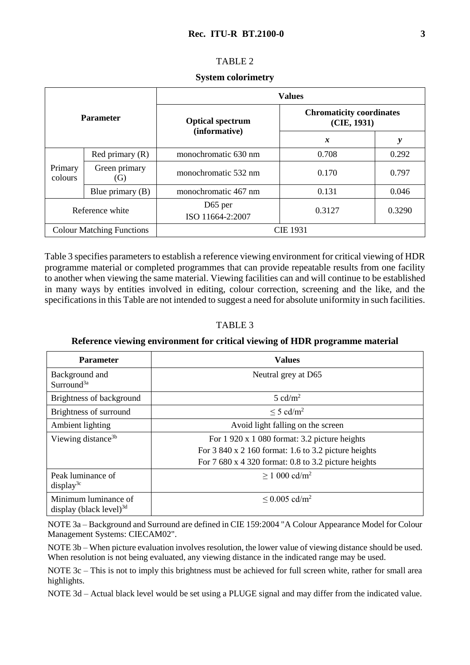## TABLE 2

### **System colorimetry**

| <b>Parameter</b>                 |                      | <b>Values</b>                            |                                                |        |
|----------------------------------|----------------------|------------------------------------------|------------------------------------------------|--------|
|                                  |                      | <b>Optical spectrum</b><br>(informative) | <b>Chromaticity coordinates</b><br>(CIE, 1931) |        |
|                                  |                      |                                          | $\boldsymbol{x}$                               | y      |
| Primary<br>colours               | Red primary $(R)$    | monochromatic 630 nm                     | 0.708                                          | 0.292  |
|                                  | Green primary<br>(G) | monochromatic 532 nm                     | 0.170                                          | 0.797  |
|                                  | Blue primary $(B)$   | monochromatic 467 nm                     | 0.131                                          | 0.046  |
| Reference white                  |                      | D <sub>65</sub> per<br>ISO 11664-2:2007  | 0.3127                                         | 0.3290 |
| <b>Colour Matching Functions</b> |                      |                                          | CIE 1931                                       |        |

Table 3 specifies parameters to establish a reference viewing environment for critical viewing of HDR programme material or completed programmes that can provide repeatable results from one facility to another when viewing the same material. Viewing facilities can and will continue to be established in many ways by entities involved in editing, colour correction, screening and the like, and the specifications in this Table are not intended to suggest a need for absolute uniformity in such facilities.

## TABLE 3

### **Reference viewing environment for critical viewing of HDR programme material**

| <b>Parameter</b>                                      | <b>Values</b>                                                                                                                                                                    |  |
|-------------------------------------------------------|----------------------------------------------------------------------------------------------------------------------------------------------------------------------------------|--|
| Background and<br>Surround <sup>3a</sup>              | Neutral grey at D65                                                                                                                                                              |  |
| Brightness of background                              | $5 \text{ cd/m}^2$                                                                                                                                                               |  |
| Brightness of surround                                | $\leq$ 5 cd/m <sup>2</sup>                                                                                                                                                       |  |
| Ambient lighting                                      | Avoid light falling on the screen                                                                                                                                                |  |
| Viewing distance <sup>3b</sup>                        | For $1\,920 \times 1\,080$ format: 3.2 picture heights<br>For $3840 \times 2160$ format: 1.6 to 3.2 picture heights<br>For $7680 \times 4320$ format: 0.8 to 3.2 picture heights |  |
| Peak luminance of<br>display <sup>3c</sup>            | $> 1000 \text{ cd/m}^2$                                                                                                                                                          |  |
| Minimum luminance of<br>display (black level) $^{3d}$ | $\leq$ 0.005 cd/m <sup>2</sup>                                                                                                                                                   |  |

NOTE 3a – Background and Surround are defined in CIE 159:2004 "A Colour Appearance Model for Colour Management Systems: CIECAM02".

NOTE 3b – When picture evaluation involves resolution, the lower value of viewing distance should be used. When resolution is not being evaluated, any viewing distance in the indicated range may be used.

NOTE 3c – This is not to imply this brightness must be achieved for full screen white, rather for small area highlights.

NOTE 3d – Actual black level would be set using a PLUGE signal and may differ from the indicated value.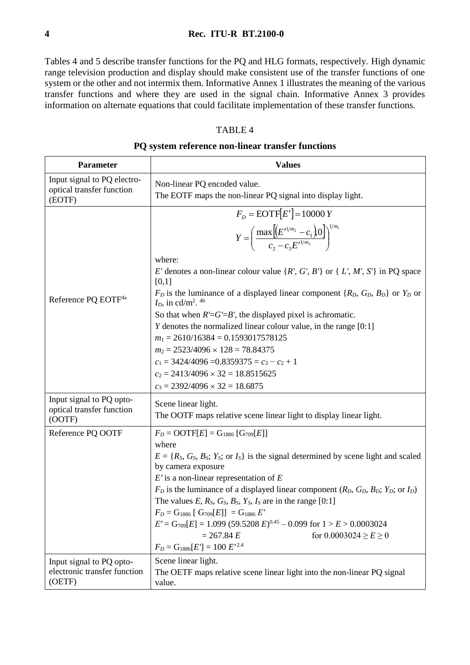Tables 4 and 5 describe transfer functions for the PQ and HLG formats, respectively. High dynamic range television production and display should make consistent use of the transfer functions of one system or the other and not intermix them. Informative Annex 1 illustrates the meaning of the various transfer functions and where they are used in the signal chain. Informative Annex 3 provides information on alternate equations that could facilitate implementation of these transfer functions.

# TABLE 4

### **PQ system reference non-linear transfer functions**

| <b>Parameter</b>                                                   | <b>Values</b>                                                                                                                                                                                                                                                                                                                                                                                                                                                                                                                                                                                                                            |  |  |
|--------------------------------------------------------------------|------------------------------------------------------------------------------------------------------------------------------------------------------------------------------------------------------------------------------------------------------------------------------------------------------------------------------------------------------------------------------------------------------------------------------------------------------------------------------------------------------------------------------------------------------------------------------------------------------------------------------------------|--|--|
| Input signal to PQ electro-<br>optical transfer function<br>(EOTF) | Non-linear PQ encoded value.<br>The EOTF maps the non-linear PQ signal into display light.                                                                                                                                                                                                                                                                                                                                                                                                                                                                                                                                               |  |  |
|                                                                    | $F_p = \text{EOTF}[E'] = 10000 Y$<br>$Y = \left(\frac{\max \left[ \left( E'^{1/m_2} - c_1 \right) 0 \right]}{c_2 - c_2 E'^{1/m_2}} \right)^{1/m_1}$<br>where:                                                                                                                                                                                                                                                                                                                                                                                                                                                                            |  |  |
| Reference PQ EOTF <sup>4a</sup>                                    | E' denotes a non-linear colour value $\{R', G', B'\}$ or $\{L', M', S'\}$ in PQ space<br>[0,1]<br>$F_D$ is the luminance of a displayed linear component { $R_D$ , $G_D$ , $B_D$ } or $Y_D$ or<br>$I_D$ , in cd/m <sup>2</sup> . <sup>4b</sup>                                                                                                                                                                                                                                                                                                                                                                                           |  |  |
|                                                                    | So that when $R' = G' = B'$ , the displayed pixel is achromatic.<br>$Y$ denotes the normalized linear colour value, in the range $[0:1]$<br>$m_1 = 2610/16384 = 0.1593017578125$<br>$m_2 = 2523/4096 \times 128 = 78.84375$<br>$c_1 = 3424/4096 = 0.8359375 = c_3 - c_2 + 1$<br>$c_2 = 2413/4096 \times 32 = 18.8515625$<br>$c_3 = 2392/4096 \times 32 = 18.6875$                                                                                                                                                                                                                                                                        |  |  |
| Input signal to PQ opto-<br>optical transfer function<br>(OOTF)    | Scene linear light.<br>The OOTF maps relative scene linear light to display linear light.                                                                                                                                                                                                                                                                                                                                                                                                                                                                                                                                                |  |  |
| Reference PQ OOTF                                                  | $F_D = \text{OOTF}[E] = G_{1886} [G_{709}[E]]$<br>where<br>$E = \{R_S, G_S, B_S; Y_S;$ or $I_S\}$ is the signal determined by scene light and scaled<br>by camera exposure<br>$E'$ is a non-linear representation of $E$<br>$F_D$ is the luminance of a displayed linear component ( $R_D$ , $G_D$ , $B_D$ ; $Y_D$ ; or $I_D$ )<br>The values E, $R_s$ , $G_s$ , $B_s$ , $Y_s$ , $I_s$ are in the range [0:1]<br>$F_D = G_{1886}$ [ $G_{709}[E]$ ] = $G_{1886}$ E'<br>$E' = G_{709}[E] = 1.099 (59.5208 E)^{0.45} - 0.099$ for $1 > E > 0.0003024$<br>$= 267.84 E$<br>for $0.0003024 \ge E \ge 0$<br>$F_D = G_{1886}[E'] = 100 E'^{2.4}$ |  |  |
| Input signal to PQ opto-<br>electronic transfer function<br>(OETF) | Scene linear light.<br>The OETF maps relative scene linear light into the non-linear PQ signal<br>value.                                                                                                                                                                                                                                                                                                                                                                                                                                                                                                                                 |  |  |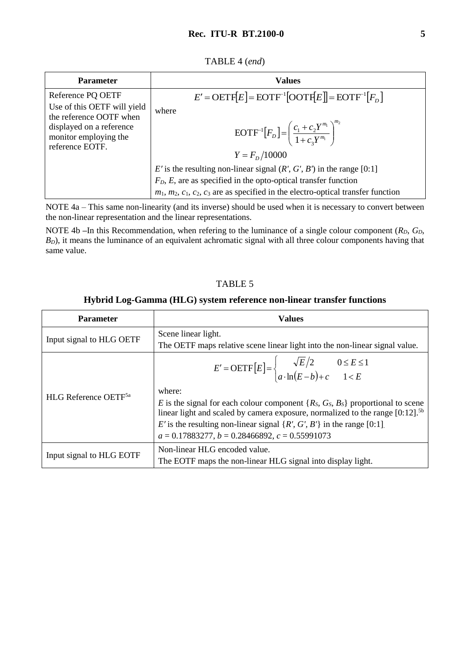| TABLE 4 (end) |  |
|---------------|--|
|---------------|--|

| <b>Parameter</b>                                                                                | <b>Values</b>                                                                                                                                                                                                                                  |
|-------------------------------------------------------------------------------------------------|------------------------------------------------------------------------------------------------------------------------------------------------------------------------------------------------------------------------------------------------|
| Reference PQ OETF<br>Use of this OETF will yield                                                | $E' = \text{OETF}[E] = \text{EOTF}^{-1}[\text{OOTF}[E]] = \text{EOTF}^{-1}[F_D]$                                                                                                                                                               |
| the reference OOTF when<br>displayed on a reference<br>monitor employing the<br>reference EOTF. | where<br>$\text{EOTF}^{-1}[F_D] = \left(\frac{c_1 + c_2 Y^{m_1}}{1 + c_2 Y^{m_1}}\right)^{m_2}$<br>$Y = Fp/10000$                                                                                                                              |
|                                                                                                 | E' is the resulting non-linear signal $(R', G', B')$ in the range [0:1]<br>$FD$ , E, are as specified in the opto-optical transfer function<br>$m_1$ , $m_2$ , $c_1$ , $c_2$ , $c_3$ are as specified in the electro-optical transfer function |

NOTE 4a – This same non-linearity (and its inverse) should be used when it is necessary to convert between the non-linear representation and the linear representations.

NOTE 4b –In this Recommendation, when refering to the luminance of a single colour component ( $R<sub>D</sub>$ ,  $G<sub>D</sub>$ , *B*<sub>*D*</sub>), it means the luminance of an equivalent achromatic signal with all three colour components having that same value.

## TABLE 5

### **Hybrid Log-Gamma (HLG) system reference non-linear transfer functions**

| <b>Parameter</b>                 | <b>Values</b>                                                                                                                                                                                                                                                                                                                                                                                                                                                     |  |
|----------------------------------|-------------------------------------------------------------------------------------------------------------------------------------------------------------------------------------------------------------------------------------------------------------------------------------------------------------------------------------------------------------------------------------------------------------------------------------------------------------------|--|
| Input signal to HLG OETF         | Scene linear light.<br>The OETF maps relative scene linear light into the non-linear signal value.                                                                                                                                                                                                                                                                                                                                                                |  |
| HLG Reference OETF <sup>5a</sup> | $E' = \text{OETF}\left[E\right] = \begin{cases} \sqrt{E}/2 & 0 \le E \le 1\\ a \cdot \ln(E - b) + c & 1 < E \end{cases}$<br>where:<br>E is the signal for each colour component $\{R_S, G_S, B_S\}$ proportional to scene<br>linear light and scaled by camera exposure, normalized to the range $[0:12]$ . <sup>5b</sup><br>E' is the resulting non-linear signal $\{R', G', B'\}$ in the range [0:1].<br>$a = 0.17883277$ , $b = 0.28466892$ , $c = 0.55991073$ |  |
| Input signal to HLG EOTF         | Non-linear HLG encoded value.<br>The EOTF maps the non-linear HLG signal into display light.                                                                                                                                                                                                                                                                                                                                                                      |  |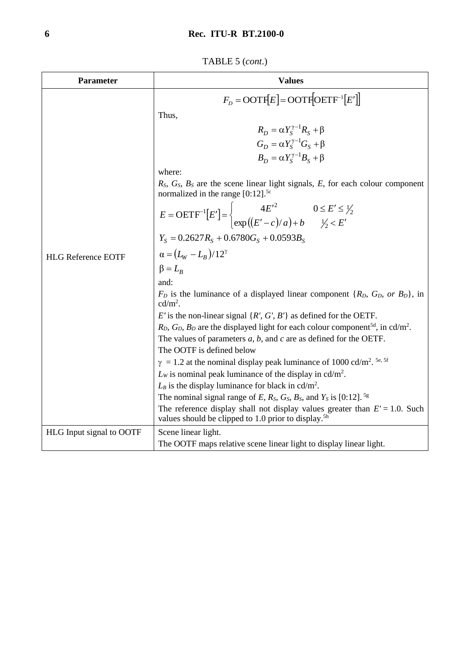TABLE 5 (*cont*.)

| Parameter                 | <b>Values</b>                                                                                                                                                |  |  |
|---------------------------|--------------------------------------------------------------------------------------------------------------------------------------------------------------|--|--|
|                           | $F_p = \text{OOTF}[E] = \text{OOTF}[\text{OETF}^{-1}[E']]$                                                                                                   |  |  |
|                           | Thus,                                                                                                                                                        |  |  |
|                           | $R_D = \alpha Y_S^{\gamma - 1} R_S + \beta$                                                                                                                  |  |  |
|                           | $G_D = \alpha Y_S^{\gamma - 1} G_S + \beta$                                                                                                                  |  |  |
|                           | $B_D = \alpha Y_S^{\gamma - 1} B_S + \beta$                                                                                                                  |  |  |
|                           | where:                                                                                                                                                       |  |  |
|                           | $R_S$ , $G_S$ , $B_S$ are the scene linear light signals, E, for each colour component                                                                       |  |  |
|                           | normalized in the range $[0:12]$ . <sup>5c</sup>                                                                                                             |  |  |
|                           | $E = \text{OETF}^{-1}[E'] = \begin{cases} 4E'^2 & 0 \le E' \le \frac{1}{2} \\ \exp((E' - c)/a) + b & \frac{1}{2} \le E' \end{cases}$                         |  |  |
|                           | $Y_s = 0.2627 R_s + 0.6780 G_s + 0.0593 B_s$                                                                                                                 |  |  |
|                           |                                                                                                                                                              |  |  |
| <b>HLG Reference EOTF</b> | $\alpha = (L_{W} - L_{B})/12^{\gamma}$                                                                                                                       |  |  |
|                           | $\beta = L_R$                                                                                                                                                |  |  |
|                           | and:                                                                                                                                                         |  |  |
|                           | $F_D$ is the luminance of a displayed linear component $\{R_D, G_D, \text{ or } B_D\}$ , in<br>$cd/m2$ .                                                     |  |  |
|                           | E' is the non-linear signal $\{R', G', B'\}$ as defined for the OETF.                                                                                        |  |  |
|                           | $R_D$ , $G_D$ , $B_D$ are the displayed light for each colour component <sup>5d</sup> , in cd/m <sup>2</sup> .                                               |  |  |
|                           | The values of parameters $a, b$ , and $c$ are as defined for the OETF.                                                                                       |  |  |
|                           | The OOTF is defined below                                                                                                                                    |  |  |
|                           | $\gamma = 1.2$ at the nominal display peak luminance of 1000 cd/m <sup>2</sup> . <sup>5e, 5f</sup>                                                           |  |  |
|                           | $L_W$ is nominal peak luminance of the display in cd/m <sup>2</sup> .                                                                                        |  |  |
|                           | $L_B$ is the display luminance for black in cd/m <sup>2</sup> .<br>The nominal signal range of E, $R_s$ , $G_s$ , $B_s$ , and $Y_s$ is [0:12]. <sup>5g</sup> |  |  |
|                           | The reference display shall not display values greater than $E' = 1.0$ . Such<br>values should be clipped to 1.0 prior to display. <sup>5h</sup>             |  |  |
| HLG Input signal to OOTF  | Scene linear light.                                                                                                                                          |  |  |
|                           | The OOTF maps relative scene linear light to display linear light.                                                                                           |  |  |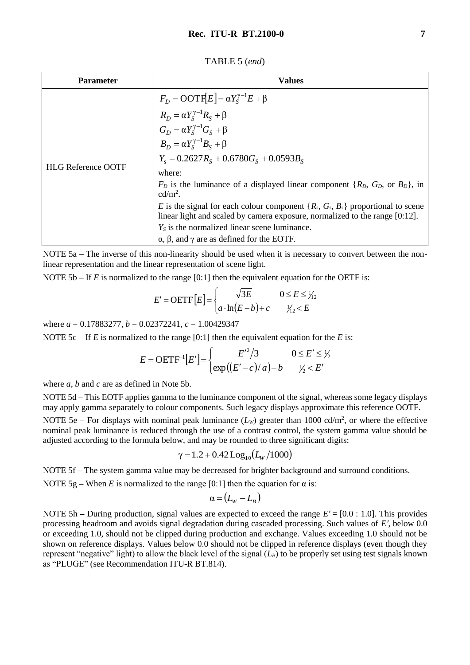TABLE 5 (*end*)

| <b>Parameter</b>          | <b>Values</b>                                                                                                                                                                                                                                                     |
|---------------------------|-------------------------------------------------------------------------------------------------------------------------------------------------------------------------------------------------------------------------------------------------------------------|
| <b>HLG Reference OOTF</b> | $F_D = \text{OOTF}[E] = \alpha Y_S^{\gamma - 1} E + \beta$<br>$R_D = \alpha Y_S^{\gamma - 1} R_S + \beta$<br>$G_D = \alpha Y_S^{\gamma - 1} G_S + \beta$<br>$B_D = \alpha Y_S^{\gamma - 1} B_S + \beta$<br>$Y_s = 0.2627 R_s + 0.6780 G_s + 0.0593 B_s$<br>where: |
|                           | $F_D$ is the luminance of a displayed linear component $\{R_D, G_D, \text{ or } B_D\}$ , in<br>$\text{cd/m}^2$ .                                                                                                                                                  |
|                           | E is the signal for each colour component $\{R_s, G_s, B_s\}$ proportional to scene<br>linear light and scaled by camera exposure, normalized to the range [0:12].                                                                                                |
|                           | $Y_s$ is the normalized linear scene luminance.                                                                                                                                                                                                                   |
|                           | $\alpha$ , $\beta$ , and $\gamma$ are as defined for the EOTF.                                                                                                                                                                                                    |

NOTE 5a **–** The inverse of this non-linearity should be used when it is necessary to convert between the nonlinear representation and the linear representation of scene light.

NOTE 5b – If *E* is normalized to the range [0:1] then the equivalent equation for the OETF is:

$$
E' = \text{OETF}\big[E\big] = \begin{cases} \sqrt{3E} & 0 \le E \le \frac{1}{2} \\ a \cdot \ln(E - b) + c & \frac{1}{2} \le E \end{cases}
$$

where *a* = 0.17883277, *b* = 0.02372241, *c* = 1.00429347

NOTE 5c – If *E* is normalized to the range [0:1] then the equivalent equation for the *E* is:

$$
E = \text{OETF}^{-1}[E'] = \begin{cases} E'^2/3 & 0 \le E' \le \frac{1}{2}\\ \exp\left(\frac{E' - c}{a}\right) + b & \frac{1}{2} < E' \end{cases}
$$

where *a*, *b* and *c* are as defined in Note 5b.

NOTE 5d **–** This EOTF applies gamma to the luminance component of the signal, whereas some legacy displays may apply gamma separately to colour components. Such legacy displays approximate this reference OOTF.

NOTE 5e – For displays with nominal peak luminance  $(L_W)$  greater than 1000 cd/m<sup>2</sup>, or where the effective nominal peak luminance is reduced through the use of a contrast control, the system gamma value should be adjusted according to the formula below, and may be rounded to three significant digits:

$$
\gamma = 1.2 + 0.42 \text{Log}_{10}(L_{\text{w}}/1000)
$$

NOTE 5f **–** The system gamma value may be decreased for brighter background and surround conditions.

NOTE 5g – When *E* is normalized to the range [0:1] then the equation for  $\alpha$  is:

$$
\alpha = (L_{W} - L_{B})
$$

NOTE 5h **–** During production, signal values are expected to exceed the range *E′* = [0.0 : 1.0]. This provides processing headroom and avoids signal degradation during cascaded processing. Such values of *E′*, below 0.0 or exceeding 1.0, should not be clipped during production and exchange. Values exceeding 1.0 should not be shown on reference displays. Values below 0.0 should not be clipped in reference displays (even though they represent "negative" light) to allow the black level of the signal  $(L_B)$  to be properly set using test signals known as "PLUGE" (see Recommendation ITU-R BT.814).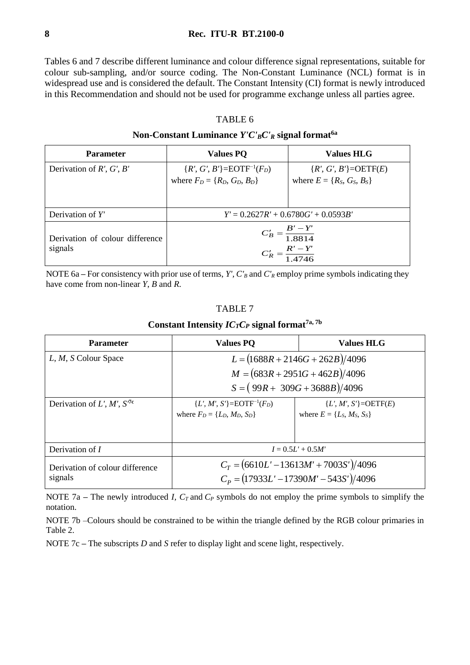Tables 6 and 7 describe different luminance and colour difference signal representations, suitable for colour sub-sampling, and/or source coding. The Non-Constant Luminance (NCL) format is in widespread use and is considered the default. The Constant Intensity (CI) format is newly introduced in this Recommendation and should not be used for programme exchange unless all parties agree.

### TABLE 6

### **Non-Constant Luminance** *Y'C'BC'<sup>R</sup>* **signal format6a**

| <b>Parameter</b>                           | <b>Values PQ</b>                                                 | <b>Values HLG</b>                 |
|--------------------------------------------|------------------------------------------------------------------|-----------------------------------|
| Derivation of $R'$ , $G'$ , $B'$           | ${R', G', B'} = EOTF^{-1}(F_D)$                                  | $\{R', G', B'\} = \text{OETF}(E)$ |
|                                            | where $F_D = \{R_D, G_D, B_D\}$                                  | where $E = \{R_S, G_S, B_S\}$     |
|                                            |                                                                  |                                   |
| Derivation of $Y'$                         | $Y' = 0.2627R' + 0.6780G' + 0.0593B'$                            |                                   |
| Derivation of colour difference<br>signals | $C'_B = \frac{B' - Y'}{1.8814}$<br>$C'_R = \frac{R'-Y'}{1.4746}$ |                                   |

NOTE 6a – For consistency with prior use of terms, *Y'*,  $C'_B$  and  $C'_R$  employ prime symbols indicating they have come from non-linear *Y*, *B* and *R*.

## TABLE 7

### **Constant Intensity**  $IC<sub>T</sub>C<sub>P</sub>$  **signal format<sup>7a, 7b</sup>**

| <b>Parameter</b>                | <b>Values PO</b>                         | <b>Values HLG</b>                        |
|---------------------------------|------------------------------------------|------------------------------------------|
| L, M, S Colour Space            | $L = (1688R + 2146G + 262B)/4096$        |                                          |
|                                 | $M = (683R + 2951G + 462B)/4096$         |                                          |
|                                 | $S = (99R + 309G + 3688B)/4096$          |                                          |
| Derivation of $L', M', S'^{c}$  | ${L', M', S'} = EOTF^{-1}(F_D)$          | ${L', M', S'} = OETF(E)$                 |
|                                 | where $F_D = \{L_D, M_D, S_D\}$          | where $E = \{L_S, M_S, S_S\}$            |
|                                 |                                          |                                          |
| Derivation of $I$               | $I = 0.5L' + 0.5M'$                      |                                          |
| Derivation of colour difference |                                          | $C_T = (6610L' - 13613M' + 7003S')/4096$ |
| signals                         | $C_p = (17933L' - 17390M' - 543S')/4096$ |                                          |

NOTE 7a – The newly introduced *I, C<sub>T</sub>* and  $C_P$  symbols do not employ the prime symbols to simplify the notation.

NOTE 7b –Colours should be constrained to be within the triangle defined by the RGB colour primaries in Table 2.

NOTE 7c **–** The subscripts *D* and *S* refer to display light and scene light, respectively.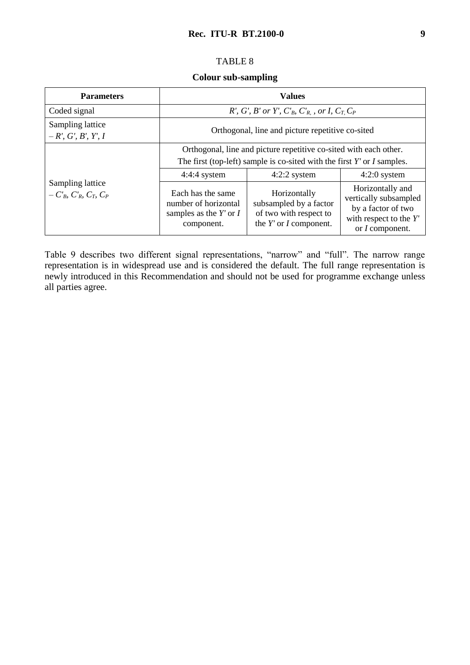# TABLE 8

### **Colour sub-sampling**

| <b>Parameters</b>                                            | <b>Values</b>                                                                                                                                                                                          |                                                                                                |                                                                                                                       |  |  |
|--------------------------------------------------------------|--------------------------------------------------------------------------------------------------------------------------------------------------------------------------------------------------------|------------------------------------------------------------------------------------------------|-----------------------------------------------------------------------------------------------------------------------|--|--|
| Coded signal                                                 | R', G', B' or Y', $C'_B$ , $C'_R$ , or I, $C_T$ , $C_P$                                                                                                                                                |                                                                                                |                                                                                                                       |  |  |
| Sampling lattice<br>$-R', G', B', Y', I$                     | Orthogonal, line and picture repetitive co-sited                                                                                                                                                       |                                                                                                |                                                                                                                       |  |  |
| Sampling lattice<br>$-C'_{B}$ , $C'_{R}$ , $C_{T}$ , $C_{P}$ | Orthogonal, line and picture repetitive co-sited with each other.<br>The first (top-left) sample is co-sited with the first $Y'$ or $I$ samples.<br>$4:2:2$ system<br>$4:4:4$ system<br>$4:2:0$ system |                                                                                                |                                                                                                                       |  |  |
|                                                              | Each has the same<br>number of horizontal<br>samples as the $Y'$ or $I$<br>component.                                                                                                                  | Horizontally<br>subsampled by a factor<br>of two with respect to<br>the $Y'$ or $I$ component. | Horizontally and<br>vertically subsampled<br>by a factor of two<br>with respect to the $Y'$<br>or <i>I</i> component. |  |  |

Table 9 describes two different signal representations, "narrow" and "full". The narrow range representation is in widespread use and is considered the default. The full range representation is newly introduced in this Recommendation and should not be used for programme exchange unless all parties agree.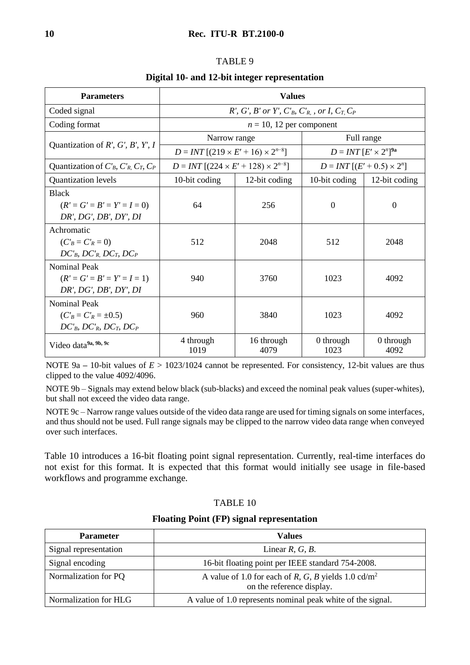### TABLE 9

### **Digital 10- and 12-bit integer representation**

| <b>Parameters</b>                                                                               | <b>Values</b>                                           |                    |                                   |                   |  |
|-------------------------------------------------------------------------------------------------|---------------------------------------------------------|--------------------|-----------------------------------|-------------------|--|
| Coded signal                                                                                    | R', G', B' or Y', $C'_B$ , $C'_R$ , or I, $C_T$ , $C_P$ |                    |                                   |                   |  |
| Coding format                                                                                   | $n = 10$ , 12 per component                             |                    |                                   |                   |  |
| Quantization of $R'$ , $G'$ , $B'$ , $Y'$ , $I$                                                 | Narrow range                                            |                    | Full range                        |                   |  |
|                                                                                                 | $D = INT [(219 \times E' + 16) \times 2^{n-8}]$         |                    | $D = INT [E' \times 2^n]^{9a}$    |                   |  |
| Quantization of $C_B$ , $C_R$ , $C_T$ , $C_P$                                                   | $D = INT [(224 \times E' + 128) \times 2^{n-8}]$        |                    | $D = INT [(E' + 0.5) \times 2^n]$ |                   |  |
| <b>Quantization levels</b>                                                                      | 10-bit coding                                           | 12-bit coding      | 10-bit coding                     | 12-bit coding     |  |
| <b>Black</b><br>$(R' = G' = B' = Y' = I = 0)$<br>DR', DG', DB', DY', DI                         | 64                                                      | 256                | $\overline{0}$                    | $\theta$          |  |
| Achromatic<br>$(C'_B = C'_R = 0)$<br>$DC'_{B}$ , $DC'_{R}$ , $DC_{T}$ , $DC_{P}$                | 512                                                     | 2048               | 512                               | 2048              |  |
| <b>Nominal Peak</b><br>$(R' = G' = B' = Y' = I = 1)$<br>DR', DG', DB', DY', DI                  | 940                                                     | 3760               | 1023                              | 4092              |  |
| <b>Nominal Peak</b><br>$(C'_B = C'_R = \pm 0.5)$<br>$DC'_{B}$ , $DC'_{R}$ , $DC_{T}$ , $DC_{P}$ | 960                                                     | 3840               | 1023                              | 4092              |  |
| Video data <sup>9a, 9b, 9c</sup>                                                                | 4 through<br>1019                                       | 16 through<br>4079 | 0 through<br>1023                 | 0 through<br>4092 |  |

NOTE 9a **–** 10-bit values of *E* > 1023/1024 cannot be represented. For consistency, 12-bit values are thus clipped to the value 4092/4096.

NOTE 9b – Signals may extend below black (sub-blacks) and exceed the nominal peak values (super-whites), but shall not exceed the video data range.

NOTE 9c – Narrow range values outside of the video data range are used for timing signals on some interfaces, and thus should not be used. Full range signals may be clipped to the narrow video data range when conveyed over such interfaces.

Table 10 introduces a 16-bit floating point signal representation. Currently, real-time interfaces do not exist for this format. It is expected that this format would initially see usage in file-based workflows and programme exchange.

# TABLE 10

### **Floating Point (FP) signal representation**

| <b>Parameter</b>      | <b>Values</b>                                                                                |  |
|-----------------------|----------------------------------------------------------------------------------------------|--|
| Signal representation | Linear $R, G, B$ .                                                                           |  |
| Signal encoding       | 16-bit floating point per IEEE standard 754-2008.                                            |  |
| Normalization for PQ  | A value of 1.0 for each of R, G, B yields 1.0 cd/m <sup>2</sup><br>on the reference display. |  |
| Normalization for HLG | A value of 1.0 represents nominal peak white of the signal.                                  |  |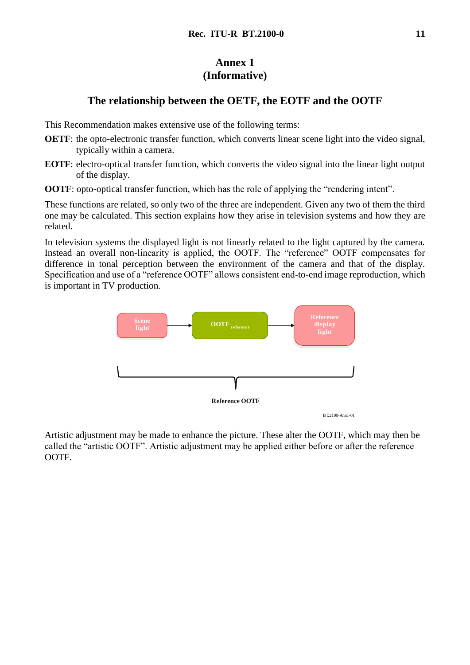# **Annex 1 (Informative)**

# **The relationship between the OETF, the EOTF and the OOTF**

This Recommendation makes extensive use of the following terms:

- **OETF**: the opto-electronic transfer function, which converts linear scene light into the video signal, typically within a camera.
- **EOTF**: electro-optical transfer function, which converts the video signal into the linear light output of the display.

**OOTF**: opto-optical transfer function, which has the role of applying the "rendering intent".

These functions are related, so only two of the three are independent. Given any two of them the third one may be calculated. This section explains how they arise in television systems and how they are related.

In television systems the displayed light is not linearly related to the light captured by the camera. Instead an overall non-linearity is applied, the OOTF. The "reference" OOTF compensates for difference in tonal perception between the environment of the camera and that of the display. Specification and use of a "reference OOTF" allows consistent end-to-end image reproduction, which is important in TV production.



Artistic adjustment may be made to enhance the picture. These alter the OOTF, which may then be called the "artistic OOTF". Artistic adjustment may be applied either before or after the reference OOTF.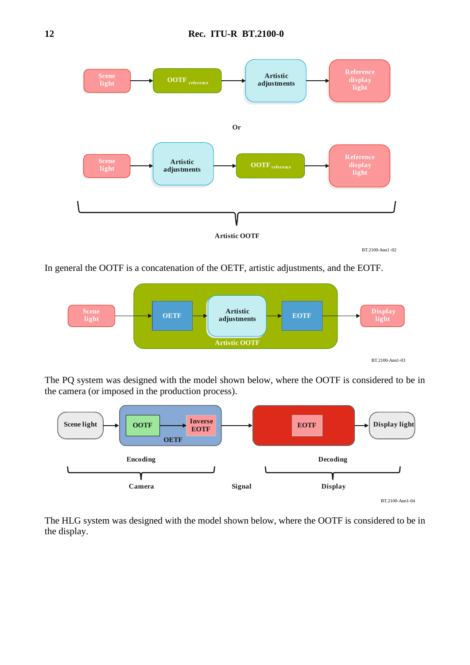

In general the OOTF is a concatenation of the OETF, artistic adjustments, and the EOTF.



The PQ system was designed with the model shown below, where the OOTF is considered to be in the camera (or imposed in the production process).



The HLG system was designed with the model shown below, where the OOTF is considered to be in the display.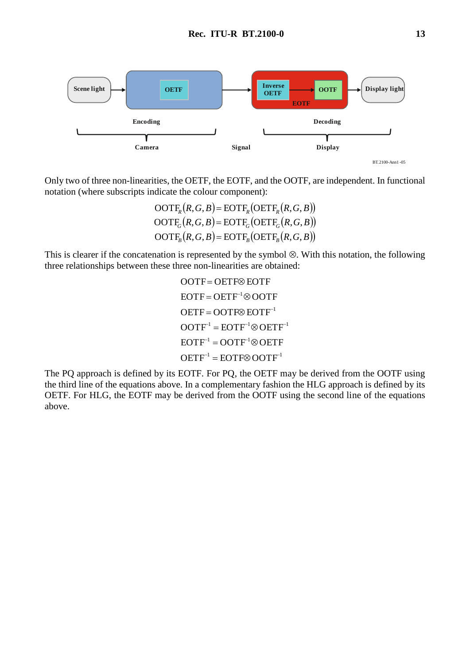

Only two of three non-linearities, the OETF, the EOTF, and the OOTF, are independent. In functional notation (where subscripts indicate the colour component):

> $OOTF_R(R, G, B) = EOTF_R(OETF_R(R, G, B))$  $OOTF_G(R, G, B) = EOTF_G(OETF_G(R, G, B))$  $OOTF_B(R, G, B) = EOTF_B(OETF_B(R, G, B))$

This is clearer if the concatenation is represented by the symbol  $\otimes$ . With this notation, the following three relationships between these three non-linearities are obtained:

> $OETF^{-1} = EOTF \otimes OOTF^{-1}$  $EOTF^{-1} = OOTF^{-1} \otimes OETF$  $OOTF^{-1} = EOTF^{-1} \otimes OETF^{-1}$  $OETF = OOTF \otimes EOTF^{-1}$  $EOTF = OETF^{-1} \otimes OOTF$ OOTF=OETF<sup>®</sup>EOTF

The PQ approach is defined by its EOTF. For PQ, the OETF may be derived from the OOTF using the third line of the equations above. In a complementary fashion the HLG approach is defined by its OETF. For HLG, the EOTF may be derived from the OOTF using the second line of the equations above.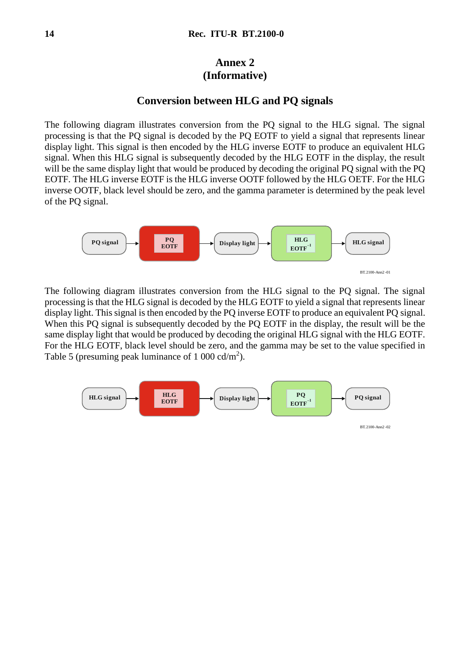# **Annex 2 (Informative)**

# **Conversion between HLG and PQ signals**

The following diagram illustrates conversion from the PQ signal to the HLG signal. The signal processing is that the PQ signal is decoded by the PQ EOTF to yield a signal that represents linear display light. This signal is then encoded by the HLG inverse EOTF to produce an equivalent HLG signal. When this HLG signal is subsequently decoded by the HLG EOTF in the display, the result will be the same display light that would be produced by decoding the original PO signal with the PO EOTF. The HLG inverse EOTF is the HLG inverse OOTF followed by the HLG OETF. For the HLG inverse OOTF, black level should be zero, and the gamma parameter is determined by the peak level of the PQ signal.



The following diagram illustrates conversion from the HLG signal to the PQ signal. The signal processing is that the HLG signal is decoded by the HLG EOTF to yield a signal that represents linear display light. This signal is then encoded by the PQ inverse EOTF to produce an equivalent PQ signal. When this PQ signal is subsequently decoded by the PQ EOTF in the display, the result will be the same display light that would be produced by decoding the original HLG signal with the HLG EOTF. For the HLG EOTF, black level should be zero, and the gamma may be set to the value specified in Table 5 (presuming peak luminance of  $1\ 000\ \text{cd/m}^2$ ).